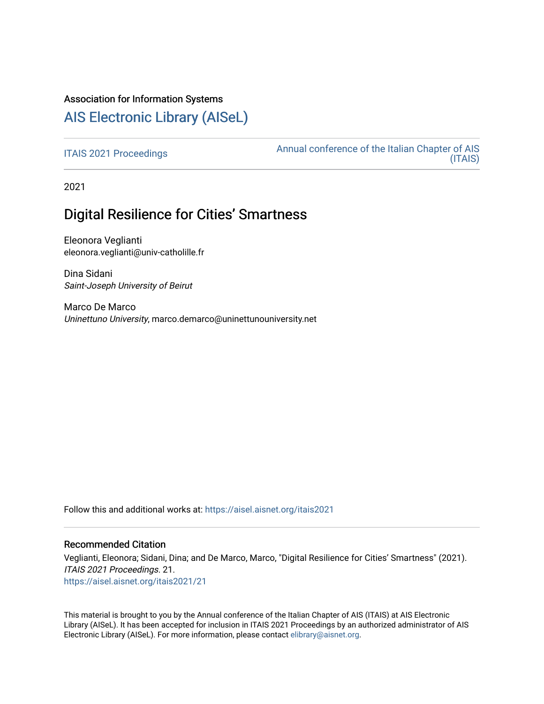# Association for Information Systems

# [AIS Electronic Library \(AISeL\)](https://aisel.aisnet.org/)

[ITAIS 2021 Proceedings](https://aisel.aisnet.org/itais2021) **Annual conference of the Italian Chapter of AIS** [\(ITAIS\)](https://aisel.aisnet.org/itais) 

2021

# Digital Resilience for Cities' Smartness

Eleonora Veglianti eleonora.veglianti@univ-catholille.fr

Dina Sidani Saint-Joseph University of Beirut

Marco De Marco Uninettuno University, marco.demarco@uninettunouniversity.net

Follow this and additional works at: [https://aisel.aisnet.org/itais2021](https://aisel.aisnet.org/itais2021?utm_source=aisel.aisnet.org%2Fitais2021%2F21&utm_medium=PDF&utm_campaign=PDFCoverPages)

## Recommended Citation

Veglianti, Eleonora; Sidani, Dina; and De Marco, Marco, "Digital Resilience for Cities' Smartness" (2021). ITAIS 2021 Proceedings. 21. [https://aisel.aisnet.org/itais2021/21](https://aisel.aisnet.org/itais2021/21?utm_source=aisel.aisnet.org%2Fitais2021%2F21&utm_medium=PDF&utm_campaign=PDFCoverPages) 

This material is brought to you by the Annual conference of the Italian Chapter of AIS (ITAIS) at AIS Electronic Library (AISeL). It has been accepted for inclusion in ITAIS 2021 Proceedings by an authorized administrator of AIS Electronic Library (AISeL). For more information, please contact [elibrary@aisnet.org.](mailto:elibrary@aisnet.org%3E)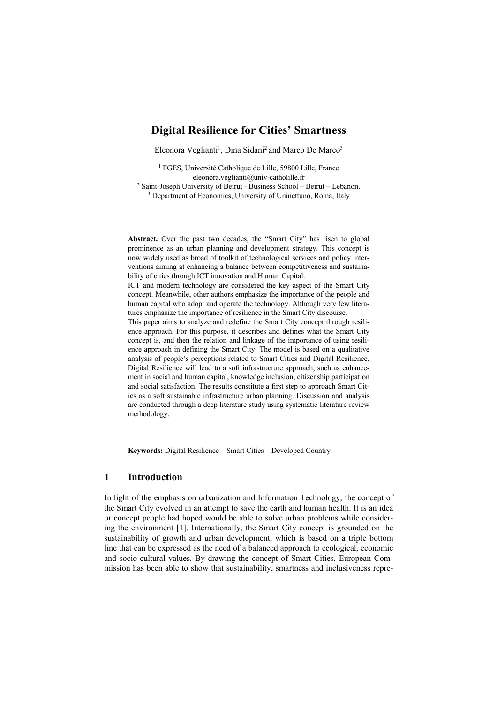# **Digital Resilience for Cities' Smartness**

Eleonora Veglianti<sup>1</sup>, Dina Sidani<sup>2</sup> and Marco De Marco<sup>3</sup>

<sup>1</sup> FGES, Université Catholique de Lille, 59800 Lille, France eleonora.veglianti@univ-catholille.fr <sup>2</sup> Saint-Joseph University of Beirut - Business School – Beirut – Lebanon. <sup>3</sup> Department of Economics, University of Uninettuno, Roma, Italy

**Abstract.** Over the past two decades, the "Smart City" has risen to global prominence as an urban planning and development strategy. This concept is now widely used as broad of toolkit of technological services and policy interventions aiming at enhancing a balance between competitiveness and sustainability of cities through ICT innovation and Human Capital.

ICT and modern technology are considered the key aspect of the Smart City concept. Meanwhile, other authors emphasize the importance of the people and human capital who adopt and operate the technology. Although very few literatures emphasize the importance of resilience in the Smart City discourse.

This paper aims to analyze and redefine the Smart City concept through resilience approach. For this purpose, it describes and defines what the Smart City concept is, and then the relation and linkage of the importance of using resilience approach in defining the Smart City. The model is based on a qualitative analysis of people's perceptions related to Smart Cities and Digital Resilience. Digital Resilience will lead to a soft infrastructure approach, such as enhancement in social and human capital, knowledge inclusion, citizenship participation and social satisfaction. The results constitute a first step to approach Smart Cities as a soft sustainable infrastructure urban planning. Discussion and analysis are conducted through a deep literature study using systematic literature review methodology.

**Keywords:** Digital Resilience – Smart Cities – Developed Country

## **1 Introduction**

In light of the emphasis on urbanization and Information Technology, the concept of the Smart City evolved in an attempt to save the earth and human health. It is an idea or concept people had hoped would be able to solve urban problems while considering the environment [1]. Internationally, the Smart City concept is grounded on the sustainability of growth and urban development, which is based on a triple bottom line that can be expressed as the need of a balanced approach to ecological, economic and socio-cultural values. By drawing the concept of Smart Cities, European Commission has been able to show that sustainability, smartness and inclusiveness repre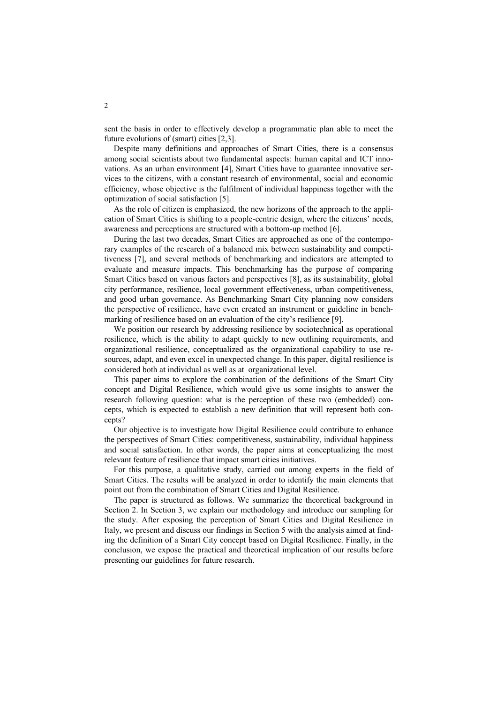sent the basis in order to effectively develop a programmatic plan able to meet the future evolutions of (smart) cities [2,3].

Despite many definitions and approaches of Smart Cities, there is a consensus among social scientists about two fundamental aspects: human capital and ICT innovations. As an urban environment [4], Smart Cities have to guarantee innovative services to the citizens, with a constant research of environmental, social and economic efficiency, whose objective is the fulfilment of individual happiness together with the optimization of social satisfaction [5].

As the role of citizen is emphasized, the new horizons of the approach to the application of Smart Cities is shifting to a people-centric design, where the citizens' needs, awareness and perceptions are structured with a bottom-up method [6].

During the last two decades, Smart Cities are approached as one of the contemporary examples of the research of a balanced mix between sustainability and competitiveness [7], and several methods of benchmarking and indicators are attempted to evaluate and measure impacts. This benchmarking has the purpose of comparing Smart Cities based on various factors and perspectives [8], as its sustainability, global city performance, resilience, local government effectiveness, urban competitiveness, and good urban governance. As Benchmarking Smart City planning now considers the perspective of resilience, have even created an instrument or guideline in benchmarking of resilience based on an evaluation of the city's resilience [9].

We position our research by addressing resilience by sociotechnical as operational resilience, which is the ability to adapt quickly to new outlining requirements, and organizational resilience, conceptualized as the organizational capability to use resources, adapt, and even excel in unexpected change. In this paper, digital resilience is considered both at individual as well as at organizational level.

This paper aims to explore the combination of the definitions of the Smart City concept and Digital Resilience, which would give us some insights to answer the research following question: what is the perception of these two (embedded) concepts, which is expected to establish a new definition that will represent both concepts?

Our objective is to investigate how Digital Resilience could contribute to enhance the perspectives of Smart Cities: competitiveness, sustainability, individual happiness and social satisfaction. In other words, the paper aims at conceptualizing the most relevant feature of resilience that impact smart cities initiatives.

For this purpose, a qualitative study, carried out among experts in the field of Smart Cities. The results will be analyzed in order to identify the main elements that point out from the combination of Smart Cities and Digital Resilience.

The paper is structured as follows. We summarize the theoretical background in Section 2. In Section 3, we explain our methodology and introduce our sampling for the study. After exposing the perception of Smart Cities and Digital Resilience in Italy, we present and discuss our findings in Section 5 with the analysis aimed at finding the definition of a Smart City concept based on Digital Resilience. Finally, in the conclusion, we expose the practical and theoretical implication of our results before presenting our guidelines for future research.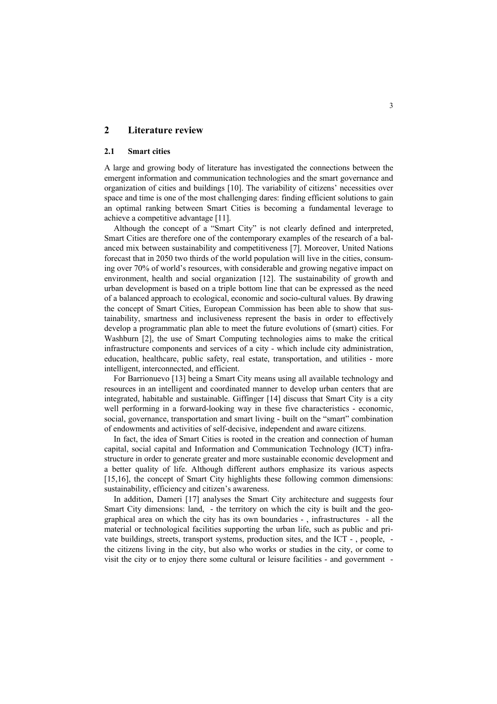## **2 Literature review**

### **2.1 Smart cities**

A large and growing body of literature has investigated the connections between the emergent information and communication technologies and the smart governance and organization of cities and buildings [10]. The variability of citizens' necessities over space and time is one of the most challenging dares: finding efficient solutions to gain an optimal ranking between Smart Cities is becoming a fundamental leverage to achieve a competitive advantage [11].

Although the concept of a "Smart City" is not clearly defined and interpreted, Smart Cities are therefore one of the contemporary examples of the research of a balanced mix between sustainability and competitiveness [7]. Moreover, United Nations forecast that in 2050 two thirds of the world population will live in the cities, consuming over 70% of world's resources, with considerable and growing negative impact on environment, health and social organization [12]. The sustainability of growth and urban development is based on a triple bottom line that can be expressed as the need of a balanced approach to ecological, economic and socio-cultural values. By drawing the concept of Smart Cities, European Commission has been able to show that sustainability, smartness and inclusiveness represent the basis in order to effectively develop a programmatic plan able to meet the future evolutions of (smart) cities. For Washburn [2], the use of Smart Computing technologies aims to make the critical infrastructure components and services of a city - which include city administration, education, healthcare, public safety, real estate, transportation, and utilities - more intelligent, interconnected, and efficient.

For Barrionuevo [13] being a Smart City means using all available technology and resources in an intelligent and coordinated manner to develop urban centers that are integrated, habitable and sustainable. Giffinger [14] discuss that Smart City is a city well performing in a forward-looking way in these five characteristics - economic, social, governance, transportation and smart living - built on the "smart" combination of endowments and activities of self-decisive, independent and aware citizens.

In fact, the idea of Smart Cities is rooted in the creation and connection of human capital, social capital and Information and Communication Technology (ICT) infrastructure in order to generate greater and more sustainable economic development and a better quality of life. Although different authors emphasize its various aspects [15,16], the concept of Smart City highlights these following common dimensions: sustainability, efficiency and citizen's awareness.

In addition, Dameri [17] analyses the Smart City architecture and suggests four Smart City dimensions: land, - the territory on which the city is built and the geographical area on which the city has its own boundaries - , infrastructures - all the material or technological facilities supporting the urban life, such as public and private buildings, streets, transport systems, production sites, and the ICT - , people, the citizens living in the city, but also who works or studies in the city, or come to visit the city or to enjoy there some cultural or leisure facilities - and government -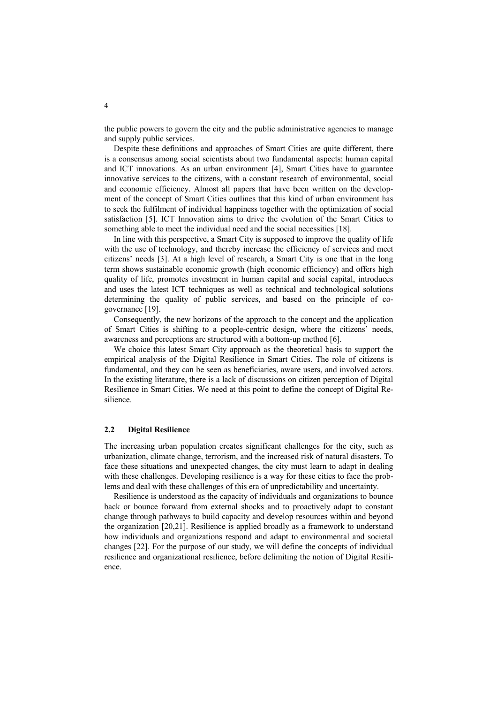the public powers to govern the city and the public administrative agencies to manage and supply public services.

Despite these definitions and approaches of Smart Cities are quite different, there is a consensus among social scientists about two fundamental aspects: human capital and ICT innovations. As an urban environment [4], Smart Cities have to guarantee innovative services to the citizens, with a constant research of environmental, social and economic efficiency. Almost all papers that have been written on the development of the concept of Smart Cities outlines that this kind of urban environment has to seek the fulfilment of individual happiness together with the optimization of social satisfaction [5]. ICT Innovation aims to drive the evolution of the Smart Cities to something able to meet the individual need and the social necessities [18].

In line with this perspective, a Smart City is supposed to improve the quality of life with the use of technology, and thereby increase the efficiency of services and meet citizens' needs [3]. At a high level of research, a Smart City is one that in the long term shows sustainable economic growth (high economic efficiency) and offers high quality of life, promotes investment in human capital and social capital, introduces and uses the latest ICT techniques as well as technical and technological solutions determining the quality of public services, and based on the principle of cogovernance [19].

Consequently, the new horizons of the approach to the concept and the application of Smart Cities is shifting to a people-centric design, where the citizens' needs, awareness and perceptions are structured with a bottom-up method [6].

We choice this latest Smart City approach as the theoretical basis to support the empirical analysis of the Digital Resilience in Smart Cities. The role of citizens is fundamental, and they can be seen as beneficiaries, aware users, and involved actors. In the existing literature, there is a lack of discussions on citizen perception of Digital Resilience in Smart Cities. We need at this point to define the concept of Digital Resilience.

#### **2.2 Digital Resilience**

The increasing urban population creates significant challenges for the city, such as urbanization, climate change, terrorism, and the increased risk of natural disasters. To face these situations and unexpected changes, the city must learn to adapt in dealing with these challenges. Developing resilience is a way for these cities to face the problems and deal with these challenges of this era of unpredictability and uncertainty.

Resilience is understood as the capacity of individuals and organizations to bounce back or bounce forward from external shocks and to proactively adapt to constant change through pathways to build capacity and develop resources within and beyond the organization [20,21]. Resilience is applied broadly as a framework to understand how individuals and organizations respond and adapt to environmental and societal changes [22]. For the purpose of our study, we will define the concepts of individual resilience and organizational resilience, before delimiting the notion of Digital Resilience.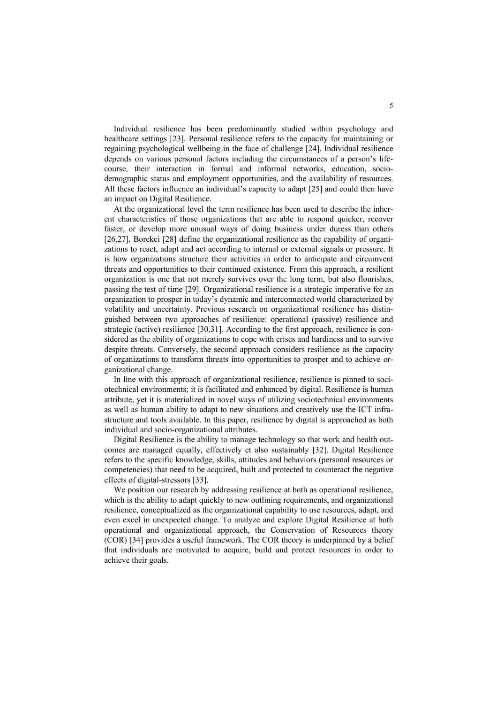Individual resilience has been predominantly studied within psychology and healthcare settings [23]. Personal resilience refers to the capacity for maintaining or regaining psychological wellbeing in the face of challenge [24]. Individual resilience depends on various personal factors including the circumstances of a person's lifecourse, their interaction in formal and informal networks, education, sociodemographic status and employment opportunities, and the availability of resources. All these factors influence an individual's capacity to adapt [25] and could then have an impact on Digital Resilience.

At the organizational level the term resilience has been used to describe the inherent characteristics of those organizations that are able to respond quicker, recover faster, or develop more unusual ways of doing business under duress than others [26,27]. Borekci [28] define the organizational resilience as the capability of organizations to react, adapt and act according to internal or external signals or pressure. It is how organizations structure their activities in order to anticipate and circumvent threats and opportunities to their continued existence. From this approach, a resilient organization is one that not merely survives over the long term, but also flourishes, passing the test of time [29]. Organizational resilience is a strategic imperative for an organization to prosper in today's dynamic and interconnected world characterized by volatility and uncertainty. Previous research on organizational resilience has distinguished between two approaches of resilience: operational (passive) resilience and strategic (active) resilience [30,31]. According to the first approach, resilience is considered as the ability of organizations to cope with crises and hardiness and to survive despite threats. Conversely, the second approach considers resilience as the capacity of organizations to transform threats into opportunities to prosper and to achieve organizational change.

In line with this approach of organizational resilience, resilience is pinned to sociotechnical environments; it is facilitated and enhanced by digital. Resilience is human attribute, yet it is materialized in novel ways of utilizing sociotechnical environments as well as human ability to adapt to new situations and creatively use the ICT infrastructure and tools available. In this paper, resilience by digital is approached as both individual and socio-organizational attributes.

Digital Resilience is the ability to manage technology so that work and health outcomes are managed equally, effectively et also sustainably [32]. Digital Resilience refers to the specific knowledge, skills, attitudes and behaviors (personal resources or competencies) that need to be acquired, built and protected to counteract the negative effects of digital-stressors [33].

We position our research by addressing resilience at both as operational resilience, which is the ability to adapt quickly to new outlining requirements, and organizational resilience, conceptualized as the organizational capability to use resources, adapt, and even excel in unexpected change. To analyze and explore Digital Resilience at both operational and organizational approach, the Conservation of Resources theory (COR) [34] provides a useful framework. The COR theory is underpinned by a belief that individuals are motivated to acquire, build and protect resources in order to achieve their goals.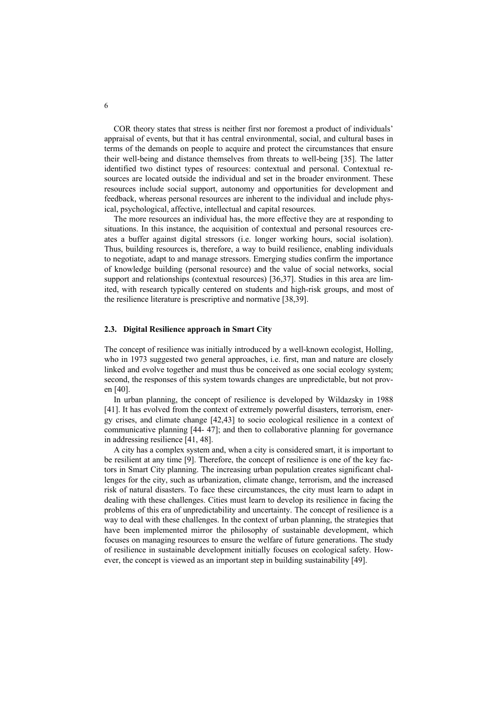COR theory states that stress is neither first nor foremost a product of individuals' appraisal of events, but that it has central environmental, social, and cultural bases in terms of the demands on people to acquire and protect the circumstances that ensure their well-being and distance themselves from threats to well-being [35]. The latter identified two distinct types of resources: contextual and personal. Contextual resources are located outside the individual and set in the broader environment. These resources include social support, autonomy and opportunities for development and feedback, whereas personal resources are inherent to the individual and include physical, psychological, affective, intellectual and capital resources.

The more resources an individual has, the more effective they are at responding to situations. In this instance, the acquisition of contextual and personal resources creates a buffer against digital stressors (i.e. longer working hours, social isolation). Thus, building resources is, therefore, a way to build resilience, enabling individuals to negotiate, adapt to and manage stressors. Emerging studies confirm the importance of knowledge building (personal resource) and the value of social networks, social support and relationships (contextual resources) [36,37]. Studies in this area are limited, with research typically centered on students and high-risk groups, and most of the resilience literature is prescriptive and normative [38,39].

#### **2.3. Digital Resilience approach in Smart City**

The concept of resilience was initially introduced by a well-known ecologist, Holling, who in 1973 suggested two general approaches, i.e. first, man and nature are closely linked and evolve together and must thus be conceived as one social ecology system; second, the responses of this system towards changes are unpredictable, but not proven [40].

In urban planning, the concept of resilience is developed by Wildazsky in 1988 [41]. It has evolved from the context of extremely powerful disasters, terrorism, energy crises, and climate change [42,43] to socio ecological resilience in a context of communicative planning [44- 47]; and then to collaborative planning for governance in addressing resilience [41, 48].

A city has a complex system and, when a city is considered smart, it is important to be resilient at any time [9]. Therefore, the concept of resilience is one of the key factors in Smart City planning. The increasing urban population creates significant challenges for the city, such as urbanization, climate change, terrorism, and the increased risk of natural disasters. To face these circumstances, the city must learn to adapt in dealing with these challenges. Cities must learn to develop its resilience in facing the problems of this era of unpredictability and uncertainty. The concept of resilience is a way to deal with these challenges. In the context of urban planning, the strategies that have been implemented mirror the philosophy of sustainable development, which focuses on managing resources to ensure the welfare of future generations. The study of resilience in sustainable development initially focuses on ecological safety. However, the concept is viewed as an important step in building sustainability [49].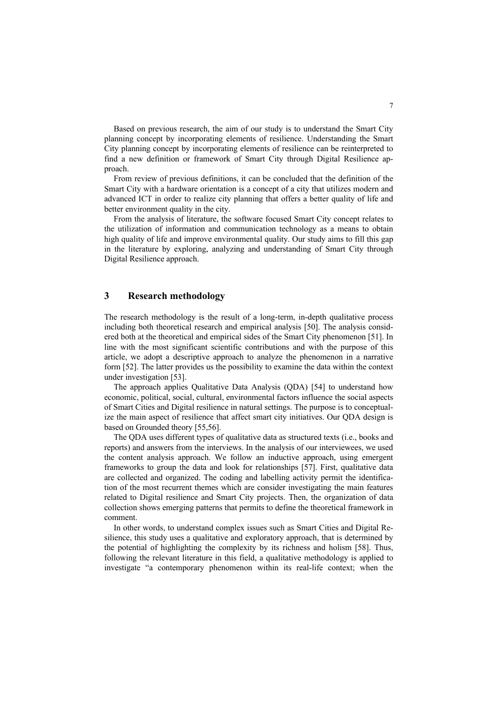Based on previous research, the aim of our study is to understand the Smart City planning concept by incorporating elements of resilience. Understanding the Smart City planning concept by incorporating elements of resilience can be reinterpreted to find a new definition or framework of Smart City through Digital Resilience approach.

From review of previous definitions, it can be concluded that the definition of the Smart City with a hardware orientation is a concept of a city that utilizes modern and advanced ICT in order to realize city planning that offers a better quality of life and better environment quality in the city.

From the analysis of literature, the software focused Smart City concept relates to the utilization of information and communication technology as a means to obtain high quality of life and improve environmental quality. Our study aims to fill this gap in the literature by exploring, analyzing and understanding of Smart City through Digital Resilience approach.

## **3 Research methodology**

The research methodology is the result of a long-term, in-depth qualitative process including both theoretical research and empirical analysis [50]. The analysis considered both at the theoretical and empirical sides of the Smart City phenomenon [51]. In line with the most significant scientific contributions and with the purpose of this article, we adopt a descriptive approach to analyze the phenomenon in a narrative form [52]. The latter provides us the possibility to examine the data within the context under investigation [53].

The approach applies Qualitative Data Analysis (QDA) [54] to understand how economic, political, social, cultural, environmental factors influence the social aspects of Smart Cities and Digital resilience in natural settings. The purpose is to conceptualize the main aspect of resilience that affect smart city initiatives. Our QDA design is based on Grounded theory [55,56].

The QDA uses different types of qualitative data as structured texts (i.e., books and reports) and answers from the interviews. In the analysis of our interviewees, we used the content analysis approach. We follow an inductive approach, using emergent frameworks to group the data and look for relationships [57]. First, qualitative data are collected and organized. The coding and labelling activity permit the identification of the most recurrent themes which are consider investigating the main features related to Digital resilience and Smart City projects. Then, the organization of data collection shows emerging patterns that permits to define the theoretical framework in comment.

In other words, to understand complex issues such as Smart Cities and Digital Resilience, this study uses a qualitative and exploratory approach, that is determined by the potential of highlighting the complexity by its richness and holism [58]. Thus, following the relevant literature in this field, a qualitative methodology is applied to investigate "a contemporary phenomenon within its real-life context; when the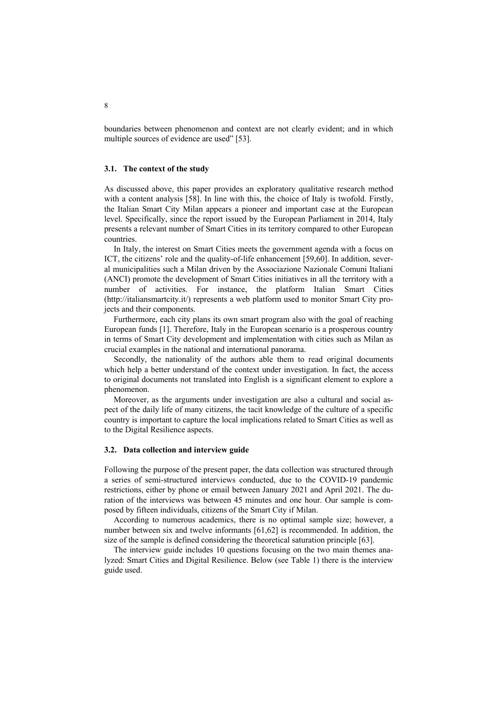boundaries between phenomenon and context are not clearly evident; and in which multiple sources of evidence are used" [53].

#### **3.1. The context of the study**

As discussed above, this paper provides an exploratory qualitative research method with a content analysis [58]. In line with this, the choice of Italy is twofold. Firstly, the Italian Smart City Milan appears a pioneer and important case at the European level. Specifically, since the report issued by the European Parliament in 2014, Italy presents a relevant number of Smart Cities in its territory compared to other European countries.

In Italy, the interest on Smart Cities meets the government agenda with a focus on ICT, the citizens' role and the quality-of-life enhancement [59,60]. In addition, several municipalities such a Milan driven by the Associazione Nazionale Comuni Italiani (ANCI) promote the development of Smart Cities initiatives in all the territory with a number of activities. For instance, the platform Italian Smart Cities (http://italiansmartcity.it/) represents a web platform used to monitor Smart City projects and their components.

Furthermore, each city plans its own smart program also with the goal of reaching European funds [1]. Therefore, Italy in the European scenario is a prosperous country in terms of Smart City development and implementation with cities such as Milan as crucial examples in the national and international panorama.

Secondly, the nationality of the authors able them to read original documents which help a better understand of the context under investigation. In fact, the access to original documents not translated into English is a significant element to explore a phenomenon.

Moreover, as the arguments under investigation are also a cultural and social aspect of the daily life of many citizens, the tacit knowledge of the culture of a specific country is important to capture the local implications related to Smart Cities as well as to the Digital Resilience aspects.

#### **3.2. Data collection and interview guide**

Following the purpose of the present paper, the data collection was structured through a series of semi-structured interviews conducted, due to the COVID-19 pandemic restrictions, either by phone or email between January 2021 and April 2021. The duration of the interviews was between 45 minutes and one hour. Our sample is composed by fifteen individuals, citizens of the Smart City if Milan.

According to numerous academics, there is no optimal sample size; however, a number between six and twelve informants [61,62] is recommended. In addition, the size of the sample is defined considering the theoretical saturation principle [63].

The interview guide includes 10 questions focusing on the two main themes analyzed: Smart Cities and Digital Resilience. Below (see Table 1) there is the interview guide used.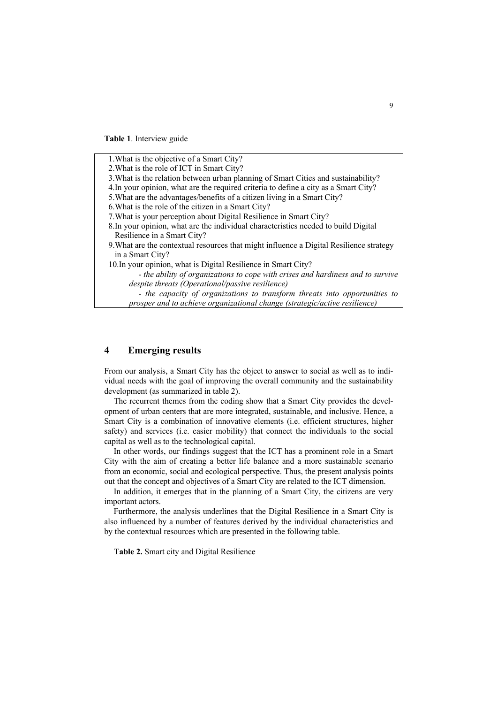**Table 1**. Interview guide

1.What is the objective of a Smart City? 2.What is the role of ICT in Smart City? 3.What is the relation between urban planning of Smart Cities and sustainability? 4.In your opinion, what are the required criteria to define a city as a Smart City? 5.What are the advantages/benefits of a citizen living in a Smart City? 6.What is the role of the citizen in a Smart City? 7.What is your perception about Digital Resilience in Smart City? 8.In your opinion, what are the individual characteristics needed to build Digital Resilience in a Smart City? 9.What are the contextual resources that might influence a Digital Resilience strategy in a Smart City? 10.In your opinion, what is Digital Resilience in Smart City? *- the ability of organizations to cope with crises and hardiness and to survive despite threats (Operational/passive resilience) - the capacity of organizations to transform threats into opportunities to prosper and to achieve organizational change (strategic/active resilience)*

## **4 Emerging results**

From our analysis, a Smart City has the object to answer to social as well as to individual needs with the goal of improving the overall community and the sustainability development (as summarized in table 2).

The recurrent themes from the coding show that a Smart City provides the development of urban centers that are more integrated, sustainable, and inclusive. Hence, a Smart City is a combination of innovative elements (i.e. efficient structures, higher safety) and services (i.e. easier mobility) that connect the individuals to the social capital as well as to the technological capital.

In other words, our findings suggest that the ICT has a prominent role in a Smart City with the aim of creating a better life balance and a more sustainable scenario from an economic, social and ecological perspective. Thus, the present analysis points out that the concept and objectives of a Smart City are related to the ICT dimension.

In addition, it emerges that in the planning of a Smart City, the citizens are very important actors.

Furthermore, the analysis underlines that the Digital Resilience in a Smart City is also influenced by a number of features derived by the individual characteristics and by the contextual resources which are presented in the following table.

**Table 2.** Smart city and Digital Resilience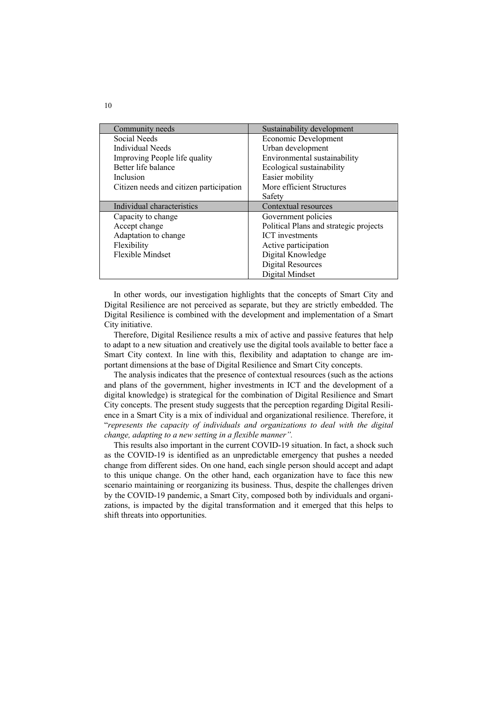| Community needs                         | Sustainability development             |
|-----------------------------------------|----------------------------------------|
| Social Needs                            | Economic Development                   |
| Individual Needs                        | Urban development                      |
| Improving People life quality           | Environmental sustainability           |
| Better life balance                     | Ecological sustainability              |
| Inclusion                               | Easier mobility                        |
| Citizen needs and citizen participation | More efficient Structures              |
|                                         | Safety                                 |
|                                         |                                        |
| Individual characteristics              | Contextual resources                   |
| Capacity to change                      | Government policies                    |
| Accept change                           | Political Plans and strategic projects |
| Adaptation to change                    | <b>ICT</b> investments                 |
| Flexibility                             | Active participation                   |
| Flexible Mindset                        | Digital Knowledge                      |
|                                         | Digital Resources                      |

In other words, our investigation highlights that the concepts of Smart City and Digital Resilience are not perceived as separate, but they are strictly embedded. The Digital Resilience is combined with the development and implementation of a Smart City initiative.

Therefore, Digital Resilience results a mix of active and passive features that help to adapt to a new situation and creatively use the digital tools available to better face a Smart City context. In line with this, flexibility and adaptation to change are important dimensions at the base of Digital Resilience and Smart City concepts.

The analysis indicates that the presence of contextual resources (such as the actions and plans of the government, higher investments in ICT and the development of a digital knowledge) is strategical for the combination of Digital Resilience and Smart City concepts. The present study suggests that the perception regarding Digital Resilience in a Smart City is a mix of individual and organizational resilience. Therefore, it "*represents the capacity of individuals and organizations to deal with the digital change, adapting to a new setting in a flexible manner".*

This results also important in the current COVID-19 situation. In fact, a shock such as the COVID-19 is identified as an unpredictable emergency that pushes a needed change from different sides. On one hand, each single person should accept and adapt to this unique change. On the other hand, each organization have to face this new scenario maintaining or reorganizing its business. Thus, despite the challenges driven by the COVID-19 pandemic, a Smart City, composed both by individuals and organizations, is impacted by the digital transformation and it emerged that this helps to shift threats into opportunities.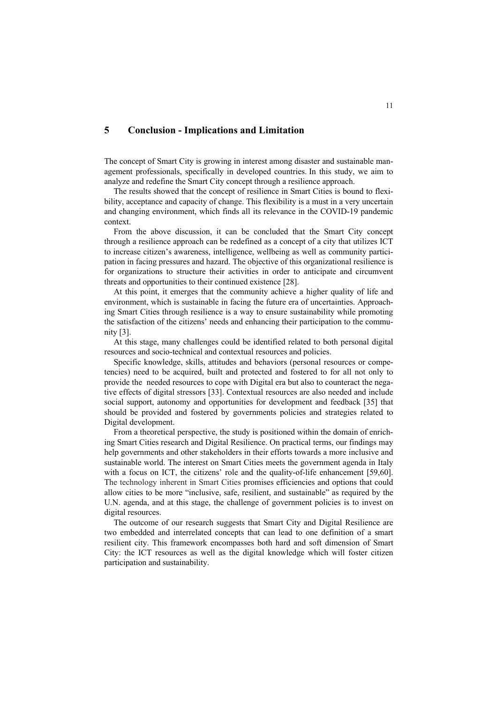## **5 Conclusion - Implications and Limitation**

The concept of Smart City is growing in interest among disaster and sustainable management professionals, specifically in developed countries. In this study, we aim to analyze and redefine the Smart City concept through a resilience approach.

The results showed that the concept of resilience in Smart Cities is bound to flexibility, acceptance and capacity of change. This flexibility is a must in a very uncertain and changing environment, which finds all its relevance in the COVID-19 pandemic context.

From the above discussion, it can be concluded that the Smart City concept through a resilience approach can be redefined as a concept of a city that utilizes ICT to increase citizen's awareness, intelligence, wellbeing as well as community participation in facing pressures and hazard. The objective of this organizational resilience is for organizations to structure their activities in order to anticipate and circumvent threats and opportunities to their continued existence [28].

At this point, it emerges that the community achieve a higher quality of life and environment, which is sustainable in facing the future era of uncertainties. Approaching Smart Cities through resilience is a way to ensure sustainability while promoting the satisfaction of the citizens' needs and enhancing their participation to the community [3].

At this stage, many challenges could be identified related to both personal digital resources and socio-technical and contextual resources and policies.

Specific knowledge, skills, attitudes and behaviors (personal resources or competencies) need to be acquired, built and protected and fostered to for all not only to provide the needed resources to cope with Digital era but also to counteract the negative effects of digital stressors [33]. Contextual resources are also needed and include social support, autonomy and opportunities for development and feedback [35] that should be provided and fostered by governments policies and strategies related to Digital development.

From a theoretical perspective, the study is positioned within the domain of enriching Smart Cities research and Digital Resilience. On practical terms, our findings may help governments and other stakeholders in their efforts towards a more inclusive and sustainable world. The interest on Smart Cities meets the government agenda in Italy with a focus on ICT, the citizens' role and the quality-of-life enhancement [59,60]. The technology inherent in Smart Cities promises efficiencies and options that could allow cities to be more "inclusive, safe, resilient, and sustainable" as required by the U.N. agenda, and at this stage, the challenge of government policies is to invest on digital resources.

The outcome of our research suggests that Smart City and Digital Resilience are two embedded and interrelated concepts that can lead to one definition of a smart resilient city. This framework encompasses both hard and soft dimension of Smart City: the ICT resources as well as the digital knowledge which will foster citizen participation and sustainability.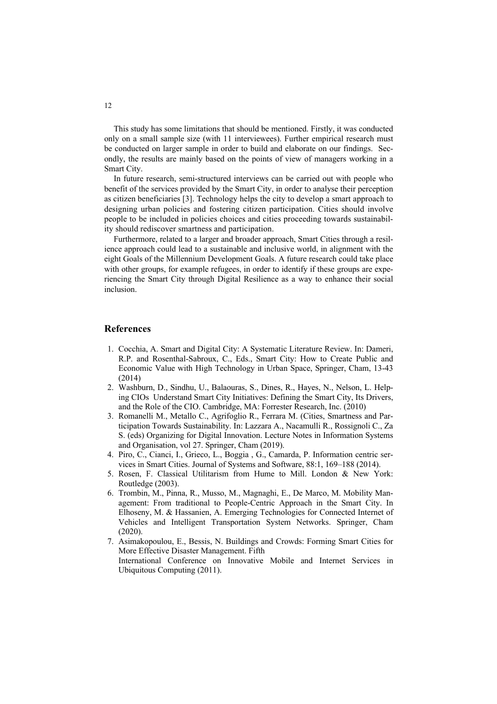This study has some limitations that should be mentioned. Firstly, it was conducted only on a small sample size (with 11 interviewees). Further empirical research must be conducted on larger sample in order to build and elaborate on our findings. Secondly, the results are mainly based on the points of view of managers working in a Smart City.

In future research, semi-structured interviews can be carried out with people who benefit of the services provided by the Smart City, in order to analyse their perception as citizen beneficiaries [3]. Technology helps the city to develop a smart approach to designing urban policies and fostering citizen participation. Cities should involve people to be included in policies choices and cities proceeding towards sustainability should rediscover smartness and participation.

Furthermore, related to a larger and broader approach, Smart Cities through a resilience approach could lead to a sustainable and inclusive world, in alignment with the eight Goals of the Millennium Development Goals. A future research could take place with other groups, for example refugees, in order to identify if these groups are experiencing the Smart City through Digital Resilience as a way to enhance their social inclusion.

## **References**

- 1. Cocchia, A. Smart and Digital City: A Systematic Literature Review. In: Dameri, R.P. and Rosenthal-Sabroux, C., Eds., Smart City: How to Create Public and Economic Value with High Technology in Urban Space, Springer, Cham, 13-43 (2014)
- 2. Washburn, D., Sindhu, U., Balaouras, S., Dines, R., Hayes, N., Nelson, L. Helping CIOs Understand Smart City Initiatives: Defining the Smart City, Its Drivers, and the Role of the CIO. Cambridge, MA: Forrester Research, Inc. (2010)
- 3. Romanelli M., Metallo C., Agrifoglio R., Ferrara M. (Cities, Smartness and Participation Towards Sustainability. In: Lazzara A., Nacamulli R., Rossignoli C., Za S. (eds) Organizing for Digital Innovation. Lecture Notes in Information Systems and Organisation, vol 27. Springer, Cham (2019).
- 4. Piro, C., Cianci, I., Grieco, L., Boggia , G., Camarda, P. Information centric services in Smart Cities. Journal of Systems and Software, 88:1, 169–188 (2014).
- 5. Rosen, F. Classical Utilitarism from Hume to Mill. London & New York: Routledge (2003).
- 6. Trombin, M., Pinna, R., Musso, M., Magnaghi, E., De Marco, M. Mobility Management: From traditional to People-Centric Approach in the Smart City. In Elhoseny, M. & Hassanien, A. Emerging Technologies for Connected Internet of Vehicles and Intelligent Transportation System Networks. Springer, Cham (2020).
- 7. Asimakopoulou, E., Bessis, N. Buildings and Crowds: Forming Smart Cities for More Effective Disaster Management. Fifth International Conference on Innovative Mobile and Internet Services in Ubiquitous Computing (2011).

12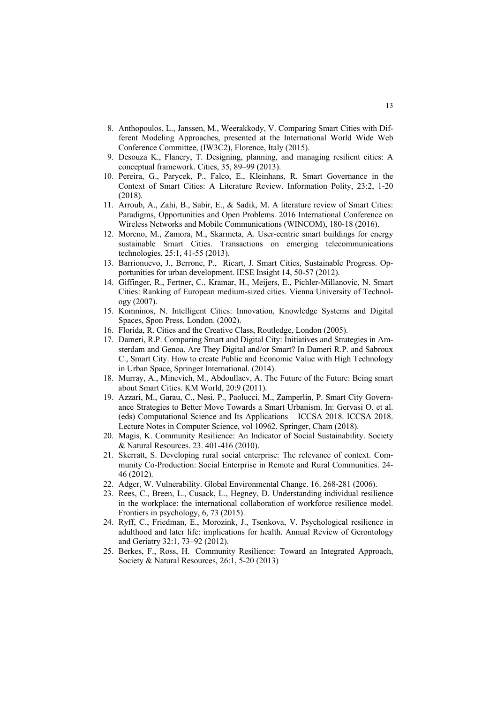- 8. Anthopoulos, L., Janssen, M., Weerakkody, V. Comparing Smart Cities with Different Modeling Approaches, presented at the International World Wide Web Conference Committee, (IW3C2), Florence, Italy (2015).
- 9. Desouza K., Flanery, T. Designing, planning, and managing resilient cities: A conceptual framework. Cities, 35, 89–99 (2013).
- 10. Pereira, G., Parycek, P., Falco, E., Kleinhans, R. Smart Governance in the Context of Smart Cities: A Literature Review. Information Polity, 23:2, 1-20 (2018).
- 11. Arroub, A., Zahi, B., Sabir, E., & Sadik, M. A literature review of Smart Cities: Paradigms, Opportunities and Open Problems. 2016 International Conference on Wireless Networks and Mobile Communications (WINCOM), 180-18 (2016).
- 12. Moreno, M., Zamora, M., Skarmeta, A. User-centric smart buildings for energy sustainable Smart Cities. Transactions on emerging telecommunications technologies, 25:1, 41-55 (2013).
- 13. Barrionuevo, J., Berrone, P., Ricart, J. Smart Cities, Sustainable Progress. Opportunities for urban development. IESE Insight 14, 50-57 (2012).
- 14. Giffinger, R., Fertner, C., Kramar, H., Meijers, E., Pichler-Millanovic, N. Smart Cities: Ranking of European medium-sized cities. Vienna University of Technology (2007).
- 15. Komninos, N. Intelligent Cities: Innovation, Knowledge Systems and Digital Spaces, Spon Press, London. (2002).
- 16. Florida, R. Cities and the Creative Class, Routledge, London (2005).
- 17. Dameri, R.P. Comparing Smart and Digital City: Initiatives and Strategies in Amsterdam and Genoa. Are They Digital and/or Smart? In Dameri R.P. and Sabroux C., Smart City. How to create Public and Economic Value with High Technology in Urban Space, Springer International. (2014).
- 18. Murray, A., Minevich, M., Abdoullaev, A. The Future of the Future: Being smart about Smart Cities. KM World, 20:9 (2011).
- 19. Azzari, M., Garau, C., Nesi, P., Paolucci, M., Zamperlin, P. Smart City Governance Strategies to Better Move Towards a Smart Urbanism. In: Gervasi O. et al. (eds) Computational Science and Its Applications – ICCSA 2018. ICCSA 2018. Lecture Notes in Computer Science, vol 10962. Springer, Cham (2018).
- 20. Magis, K. Community Resilience: An Indicator of Social Sustainability. Society & Natural Resources. 23. 401-416 (2010).
- 21. Skerratt, S. Developing rural social enterprise: The relevance of context. Community Co-Production: Social Enterprise in Remote and Rural Communities. 24- 46 (2012).
- 22. Adger, W. Vulnerability. Global Environmental Change. 16. 268-281 (2006).
- 23. Rees, C., Breen, L., Cusack, L., Hegney, D. Understanding individual resilience in the workplace: the international collaboration of workforce resilience model. Frontiers in psychology, 6, 73 (2015).
- 24. Ryff, C., Friedman, E., Morozink, J., Tsenkova, V. Psychological resilience in adulthood and later life: implications for health. Annual Review of Gerontology and Geriatry 32:1, 73–92 (2012).
- 25. Berkes, F., Ross, H. Community Resilience: Toward an Integrated Approach, Society & Natural Resources, 26:1, 5-20 (2013)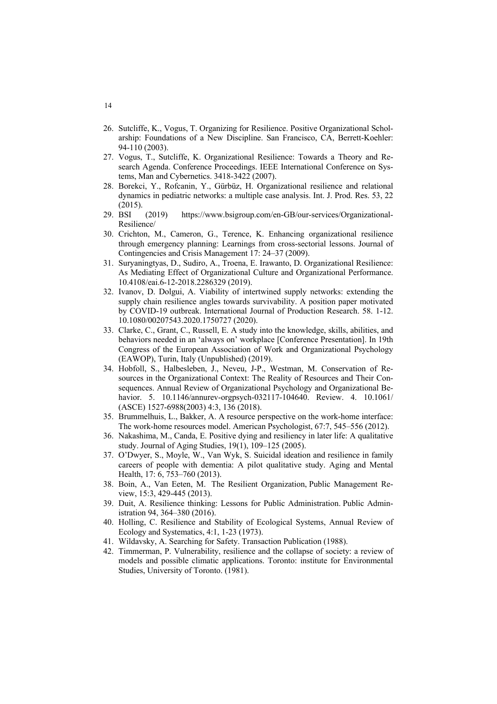- 26. Sutcliffe, K., Vogus, T. Organizing for Resilience. Positive Organizational Scholarship: Foundations of a New Discipline. San Francisco, CA, Berrett-Koehler: 94-110 (2003).
- 27. Vogus, T., Sutcliffe, K. Organizational Resilience: Towards a Theory and Research Agenda. Conference Proceedings. IEEE International Conference on Systems, Man and Cybernetics. 3418-3422 (2007).
- 28. Borekci, Y., Rofcanin, Y., Gürbüz, H. Organizational resilience and relational dynamics in pediatric networks: a multiple case analysis. Int. J. Prod. Res. 53, 22 (2015).
- 29. BSI (2019) https://www.bsigroup.com/en-GB/our-services/Organizational-Resilience/
- 30. Crichton, M., Cameron, G., Terence, K. Enhancing organizational resilience through emergency planning: Learnings from cross-sectorial lessons. Journal of Contingencies and Crisis Management 17: 24–37 (2009).
- 31. Suryaningtyas, D., Sudiro, A., Troena, E. Irawanto, D. Organizational Resilience: As Mediating Effect of Organizational Culture and Organizational Performance. 10.4108/eai.6-12-2018.2286329 (2019).
- 32. Ivanov, D. Dolgui, A. Viability of intertwined supply networks: extending the supply chain resilience angles towards survivability. A position paper motivated by COVID-19 outbreak. International Journal of Production Research. 58. 1-12. 10.1080/00207543.2020.1750727 (2020).
- 33. Clarke, C., Grant, C., Russell, E. A study into the knowledge, skills, abilities, and behaviors needed in an 'always on' workplace [Conference Presentation]. In 19th Congress of the European Association of Work and Organizational Psychology (EAWOP), Turin, Italy (Unpublished) (2019).
- 34. Hobfoll, S., Halbesleben, J., Neveu, J-P., Westman, M. Conservation of Resources in the Organizational Context: The Reality of Resources and Their Consequences. Annual Review of Organizational Psychology and Organizational Behavior. 5. 10.1146/annurev-orgpsych-032117-104640. Review. 4. 10.1061/ (ASCE) 1527-6988(2003) 4:3, 136 (2018).
- 35. Brummelhuis, L., Bakker, A. A resource perspective on the work-home interface: The work-home resources model. American Psychologist, 67:7, 545–556 (2012).
- 36. Nakashima, M., Canda, E. Positive dying and resiliency in later life: A qualitative study. Journal of Aging Studies, 19(1), 109–125 (2005).
- 37. O'Dwyer, S., Moyle, W., Van Wyk, S. Suicidal ideation and resilience in family careers of people with dementia: A pilot qualitative study. Aging and Mental Health, 17: 6, 753–760 (2013).
- 38. Boin, A., Van Eeten, M. The Resilient Organization, Public Management Review, 15:3, 429-445 (2013).
- 39. Duit, A. Resilience thinking: Lessons for Public Administration. Public Administration 94, 364–380 (2016).
- 40. Holling, C. Resilience and Stability of Ecological Systems, Annual Review of Ecology and Systematics, 4:1, 1-23 (1973).
- 41. Wildavsky, A. Searching for Safety. Transaction Publication (1988).
- 42. Timmerman, P. Vulnerability, resilience and the collapse of society: a review of models and possible climatic applications. Toronto: institute for Environmental Studies, University of Toronto. (1981).